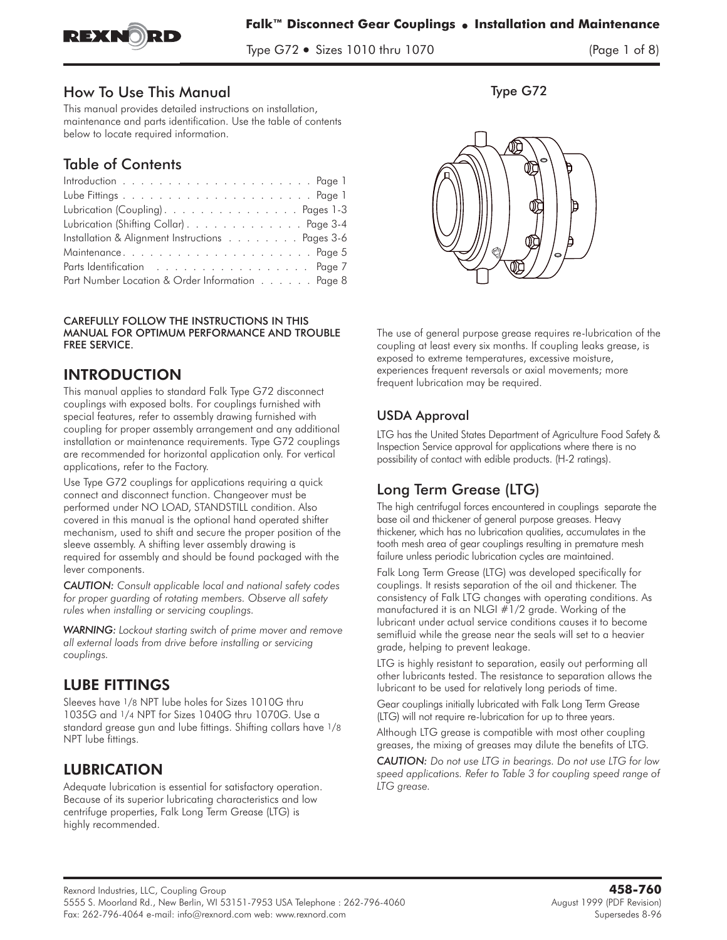

Type G72 - Sizes 1010 thru 1070 (Page 1 of 8)

## How To Use This Manual

This manual provides detailed instructions on installation, maintenance and parts identification. Use the table of contents below to locate required information.

## Table of Contents

| Lubrication (Coupling). Pages 1-3               |
|-------------------------------------------------|
| Lubrication (Shifting Collar) Page 3-4          |
| Installation & Alignment Instructions Pages 3-6 |
|                                                 |
|                                                 |
| Part Number Location & Order Information Page 8 |

CAREFULLY FOLLOW THE INSTRUCTIONS IN THIS MANUAL FOR OPTIMUM PERFORMANCE AND TROUBLE FREE SERVICE.

## **INTRODUCTION**

INTRODUCTION This manual applies to standard Falk Type G72 disconnect couplings with exposed bolts. For couplings furnished with special features, refer to assembly drawing furnished with coupling for proper assembly arrangement and any additional installation or maintenance requirements. Type G72 couplings are recommended for horizontal application only. For vertical applications, refer to the Factory.

Use Type G72 couplings for applications requiring a quick connect and disconnect function. Changeover must be performed under NO LOAD, STANDSTILL condition. Also covered in this manual is the optional hand operated shifter mechanism, used to shift and secure the proper position of the sleeve assembly. A shifting lever assembly drawing is required for assembly and should be found packaged with the lever components.

*CAUTION: Consult applicable local and national safety codes for proper guarding of rotating members. Observe all safety rules when installing or servicing couplings.*

*WARNING: Lockout starting switch of prime mover and remove all external loads from drive before installing or servicing couplings.*

Sleeves have <sup>1</sup>/8 NPT lube holes for Sizes 1010G thru **1035G and 1/4 NPT for Sizes 1040G thru 1070G. Use a standard grease gun and lube fittings. Shifting collars have 1/8 NPT lube fittings.**

LUBRICATION **Adequate lubrication is essential for satisfactory operation. Because of its superior lubricating characteristics and low centrifuge properties, Falk Long Term Grease (LTG) is highly recommended.**

Type G72



**The use of general purpose grease requires re-lubrication of the coupling at least every six months. If coupling leaks grease, is exposed to extreme temperatures, excessive moisture, experiences frequent reversals or axial movements; more frequent lubrication may be required.**

## USDA Approval

**LTG has the United States Department of Agriculture Food Safety & Inspection Service approval for applications where there is no possibility of contact with edible products. (H-2 ratings).**

## Long Term Grease (LTG)

**The high centrifugal forces encountered in couplings separate the base oil and thickener of general purpose greases. Heavy thickener, which has no lubrication qualities, accumulates in the tooth mesh area of gear couplings resulting in premature mesh failure unless periodic lubrication cycles are maintained.**

**Falk Long Term Grease (LTG) was developed specifically for couplings. It resists separation of the oil and thickener. The consistency of Falk LTG changes with operating conditions. As manufactured it is an NLGI #1/2 grade. Working of the lubricant under actual service conditions causes it to become semifluid while the grease near the seals will set to a heavier grade, helping to prevent leakage.**

LTG is highly resistant to separation, easily out performing all other lubricants tested. The resistance to separation allows the lubricant to be used for relatively long periods of time.

**Gear couplings initially lubricated with Falk Long Term Grease (LTG) will not require re-lubrication for up to three years.**

Although LTG grease is compatible with most other coupling greases, the mixing of greases may dilute the benefits of LTG.

*CAUTION: Do not use LTG in bearings. Do not use LTG for low speed applications. Refer to Table 3 for coupling speed range of LTG grease.*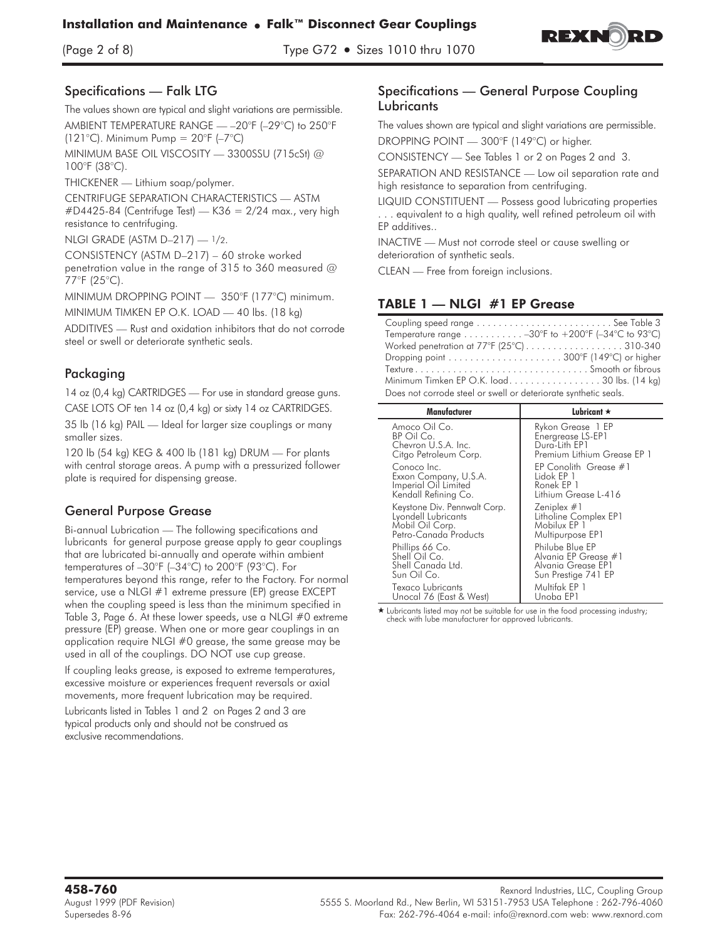

#### Specifications — Falk LTG

**The values shown are typical and slight variations are permissible. AMBIENT TEMPERATURE RANGE — –20°F (–29°C) to 250°F (121°C).** Minimum Pump = 20°F (–7°C)

**MINIMUM BASE OIL VISCOSITY — 3300SSU (715cSt) @ 100°F (38°C).**

**THICKENER — Lithium soap/polymer**.

**CENTRIFUGE SEPARATION CHARACTERISTICS — ASTM #D4425-84 (Centrifuge Test) — K36 = 2/24 max., very high resistance to centrifuging.**

**NLGI GRADE (ASTM D–217) — 1/2.**

**CONSISTENCY (ASTM D–217) – 60 stroke worked penetration value in the range of 315 to 360 measured @ 77°F (25°C).**

MINIMUM DROPPING POINT — 350°F (177°C) minimum.

**MINIMUM TIMKEN EP O.K. LOAD — 40 lbs.** (18 kg)

**ADDITIVES — Rust and oxidation inhibitors that do not corrode steel or swell or deteriorate synthetic seals.**

## Packaging

**14 oz (0,4 kg) CARTRIDGES — For use in standard grease guns. CASE LOTS OF ten 14 oz (0,4 kg) or sixty 14 oz CARTRIDGES.**

35 lb (16 kg) PAIL — Ideal for larger size couplings or many smaller sizes.

**120 lb (54 kg) KEG & 400 lb (181 kg) DRUM — For plants with central storage areas. A pump with a pressurized follower plate is required for dispensing grease.**

## General Purpose Grease

Bi-annual Lubrication **—** The following specifications and lubricants for general purpose grease apply to gear couplings that are lubricated bi-annually and operate within ambient temperatures of –30°F (–34°C) to 200°F (93°C). For temperatures beyond this range, refer to the Factory. For normal service, use a NLGI #1 extreme pressure (EP) grease EXCEPT when the coupling speed is less than the minimum specified in Table 3, Page 6. At these lower speeds, use a NLGI #0 extreme pressure (EP) grease. When one or more gear couplings in an application require NLGI #0 grease, the same grease may be used in all of the couplings. DO NOT use cup grease.

**If coupling leaks grease, is exposed to extreme temperatures, excessive moisture or experiences frequent reversals or axial movements, more frequent lubrication may be required.**

**Lubricants listed in Tables 1 and 2 on Pages 2 and 3 are typical products only and should not be construed as exclusive recommendations.**

#### Specifications — General Purpose Coupling **Lubricants**

**The values shown are typical and slight variations are permissible. DROPPING POINT — 300°F (149°C) or higher.**

**CONSISTENCY — See Tables 1 or 2 on Pages 2 and 3.**

**SEPARATION AND RESISTANCE — Low oil separation rate and high resistance to separation from centrifuging.**

**LIQUID CONSTITUENT — Possess good lubricating properties . . . equivalent to a high quality, well refined petroleum oil with EP additives..**

**INACTIVE — Must not corrode steel or cause swelling or deterioration of synthetic seals.**

**CLEAN — Free from foreign inclusions.**

| Temperature range $\dots \dots \dots -30$ °F to $+200$ °F (-34°C to 93°C) |
|---------------------------------------------------------------------------|
|                                                                           |
|                                                                           |
|                                                                           |
| Minimum Timken EP O.K. load. 30 lbs. (14 kg)                              |
| Does not corrode steel or swell or deteriorate synthetic seals.           |

| Manufacturer                                                                         | Lubricant $\star$                                                                    |  |  |  |  |  |
|--------------------------------------------------------------------------------------|--------------------------------------------------------------------------------------|--|--|--|--|--|
| Amoco Oil Co.                                                                        | Rykon Grease 1 EP                                                                    |  |  |  |  |  |
| BP Oil Co.                                                                           | Energrease LS-EP1                                                                    |  |  |  |  |  |
| Chevron U.S.A. Inc.                                                                  | Dura-Lith EP1                                                                        |  |  |  |  |  |
| Citgo Petroleum Corp.                                                                | Premium Lithium Grease EP 1                                                          |  |  |  |  |  |
| Conoco Inc.<br>Exxon Company, U.S.A.<br>Imperial Oil Limited<br>Kendall Refining Co. | EP Conolith Grease #1<br>Lidok EP 1<br>Ronek EP 1<br>Lithium Grease L-416            |  |  |  |  |  |
| Keystone Div. Pennwalt Corp.                                                         | Zeniplex $#1$                                                                        |  |  |  |  |  |
| Lyondell Lubricants                                                                  | Litholine Complex EP1                                                                |  |  |  |  |  |
| Mobil Oil Corp.                                                                      | Mobilux EP 1                                                                         |  |  |  |  |  |
| Petro-Canada Products                                                                | Multipurpose EP1                                                                     |  |  |  |  |  |
| Phillips 66 Co.<br>Shell Oil Co.<br>Shell Canada Ltd.<br>Sun Oil Co.                 | Philube Blue EP<br>Alvania EP Grease #1<br>Alvania Grease EP1<br>Sun Prestige 741 EP |  |  |  |  |  |
| Texaco Lubricants                                                                    | Multifak EP 1                                                                        |  |  |  |  |  |
| Unocal 76 (East & West)                                                              | Unoba EP1                                                                            |  |  |  |  |  |

\* Lubricants listed may not be suitable for use in the food processing industry; check with lube manufacturer for approved lubricants.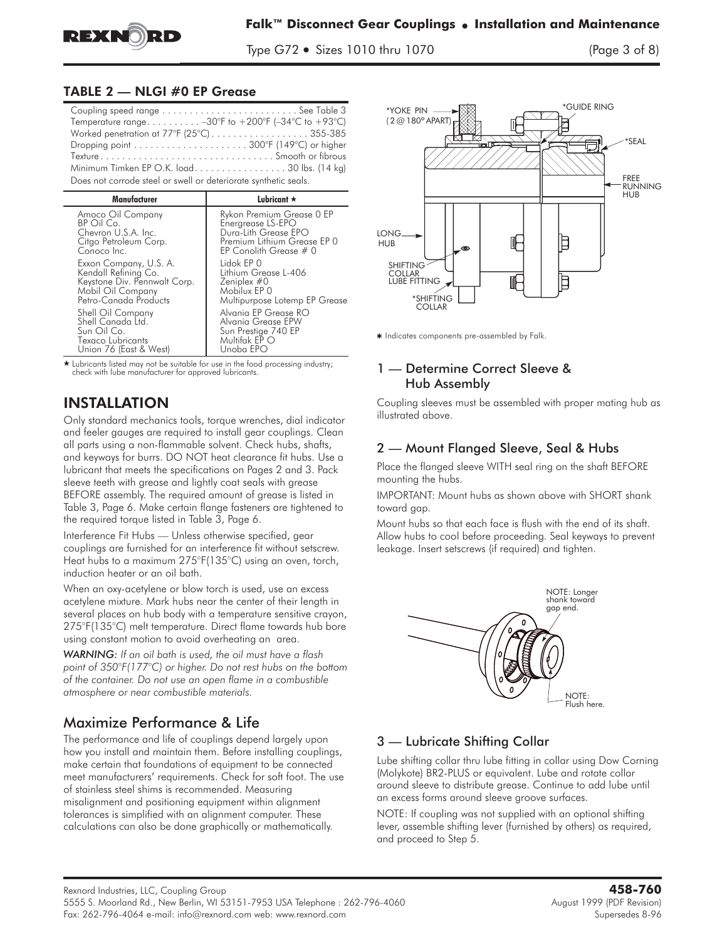

Type G72 - Sizes 1010 thru 1070 (Page 3 of 8)

## TABLE 2 - NLGI #0 EP Grease

| Temperature range -30°F to +200°F (-34°C to +93°C)              |
|-----------------------------------------------------------------|
| Worked penetration at 77°F (25°C)355-385                        |
|                                                                 |
|                                                                 |
| Minimum Timken EP O.K. load30 lbs. (14 kg)                      |
| Does not corrode steel or swell or deteriorate synthetic seals. |
|                                                                 |

| Manufacturer                                                                                         | Lubricant $\star$                                                                               |
|------------------------------------------------------------------------------------------------------|-------------------------------------------------------------------------------------------------|
| Amoco Oil Company                                                                                    | Rykon Premium Grease 0 EP                                                                       |
| BP Oil Co.                                                                                           | Energrease LS-EPO                                                                               |
| Chevron U.S.A. Inc.                                                                                  | Dura-Lith Grease EPO                                                                            |
| Citgo Petroleum Corp.                                                                                | Premium Lithium Grease EP 0                                                                     |
| Conoco Inc.                                                                                          | EP Conolith Grease $#0$                                                                         |
| Exxon Company, U.S. A.                                                                               | Lidok EP 0                                                                                      |
| Kendall Refining Co.                                                                                 | Lithium Grease L-406                                                                            |
| Keystone Div. Pennwalt Corp.                                                                         | Zeniplex #0                                                                                     |
| Mobil Oil Company                                                                                    | Mobilux EP 0                                                                                    |
| Petro-Canada Products                                                                                | Multipurpose Lotemp EP Grease                                                                   |
| Shell Oil Company<br>Shell Canada Ltd.<br>Sun Oil Co.<br>Texaco Lubricants<br>Union 76 (East & West) | Alvania EP Grease RO<br>Alvania Grease EPW<br>Sun Prestige 740 EP<br>Multifak EP O<br>Unoba EPO |

\* Lubricants listed may not be suitable for use in the food processing industry; check with lube manufacturer for approved lubricants.

INSTALLATION **Only standard mechanics tools, torque wrenches, dial indicator and feeler gauges are required to install gear couplings. Clean all parts using a non-flammable solvent. Check hubs, shafts, and keyways for burrs. DO NOT heat clearance fit hubs. Use a lubricant that meets the specifications on Pages 2 and 3. Pack sleeve teeth with grease and lightly coat seals with grease BEFORE assembly. The required amount of grease is listed in Table 3, Page 6. Make certain flange fasteners are tightened to the required torque listed in Table 3, Page 6.**

Interference Fit Hubs **—** Unless otherwise specified, gear couplings are furnished for an interference fit without setscrew. Heat hubs to a maximum 275°F(135°C) using an oven, torch, induction heater or an oil bath.

**When an oxy-acetylene or blow torch is used, use an excess acetylene mixture. Mark hubs near the center of their length in several places on hub body with a temperature sensitive crayon, 275°F(135°C) melt temperature. Direct flame towards hub bore using constant motion to avoid overheating an area.**

*WARNING: If an oil bath is used, the oil must have a flash point of 350°F(177°C) or higher. Do not rest hubs on the bottom of the container. Do not use an open flame in a combustible atmosphere or near combustible materials.*

## Maximize Performance & Life

**The performance and life of couplings depend largely upon how you install and maintain them. Before installing couplings, make certain that foundations of equipment to be connected meet manufacturers' requirements. Check for soft foot. The use of stainless steel shims is recommended. Measuring misalignment and positioning equipment within alignment tolerances is simplified with an alignment computer. These** calculations can also be done graphically or mathematically.



\* Indicates components pre-assembled by Falk.

#### 1 — Determine Correct Sleeve & Hub Assembly

Coupling sleeves must be assembled with proper mating hub as illustrated above.

## 2 — Mount Flanged Sleeve, Seal & Hubs

**Place the flanged sleeve WITH seal ring on the shaft BEFORE mounting the hubs.**

IMPORTANT: Mount hubs as shown above with SHORT shank toward gap.

Mount hubs so that each face is flush with the end of its shaft. Allow hubs to cool before proceeding. Seal keyways to prevent leakage. Insert setscrews (if required) and tighten.



## 3 — Lubricate Shifting Collar

Lube shifting collar thru lube fitting in collar using Dow Corning (Molykote) BR2-PLUS or equivalent. Lube and rotate collar around sleeve to distribute grease. Continue to add lube until an excess forms around sleeve groove surfaces.

NOTE: If coupling was not supplied with an optional shifting lever, assemble shifting lever (furnished by others) as required, and proceed to Step 5.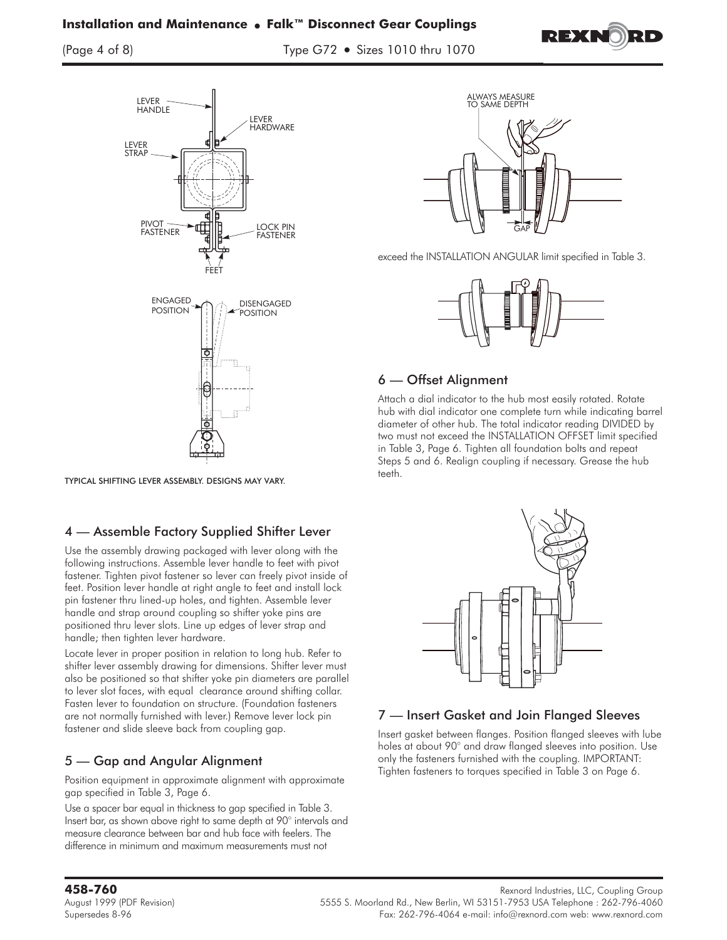## **Installation and Maintenance** - **Falk™ Disconnect Gear Couplings**

(Page 4 of 8) Type G72 - Sizes 1010 thru 1070





TYPICAL SHIFTING LEVER ASSEMBLY. DESIGNS MAY VARY.

## 4 — Assemble Factory Supplied Shifter Lever

Use the assembly drawing packaged with lever along with the following instructions. Assemble lever handle to feet with pivot fastener. Tighten pivot fastener so lever can freely pivot inside of feet. Position lever handle at right angle to feet and install lock pin fastener thru lined-up holes, and tighten. Assemble lever handle and strap around coupling so shifter yoke pins are positioned thru lever slots. Line up edges of lever strap and handle; then tighten lever hardware.

Locate lever in proper position in relation to long hub. Refer to shifter lever assembly drawing for dimensions. Shifter lever must also be positioned so that shifter yoke pin diameters are parallel to lever slot faces, with equal clearance around shifting collar. Fasten lever to foundation on structure. (Foundation fasteners are not normally furnished with lever.) Remove lever lock pin fastener and slide sleeve back from coupling gap.

## 5 — Gap and Angular Alignment

Position equipment in approximate alignment with approximate gap specified in Table 3, Page 6.

Use a spacer bar equal in thickness to gap specified in Table 3. Insert bar, as shown above right to same depth at 90° intervals and measure clearance between bar and hub face with feelers. The difference in minimum and maximum measurements must not



exceed the INSTALLATION ANGULAR limit specified in Table 3.



## 6 — Offset Alignment

Attach a dial indicator to the hub most easily rotated. Rotate hub with dial indicator one complete turn while indicating barrel diameter of other hub. The total indicator reading DIVIDED by two must not exceed the INSTALLATION OFFSET limit specified in Table 3, Page 6. Tighten all foundation bolts and repeat Steps 5 and 6. Realign coupling if necessary. Grease the hub teeth.



## 7 — Insert Gasket and Join Flanged Sleeves

Insert gasket between flanges. Position flanged sleeves with lube holes at about 90° and draw flanged sleeves into position. Use only the fasteners furnished with the coupling. IMPORTANT: Tighten fasteners to torques specified in Table 3 on Page 6.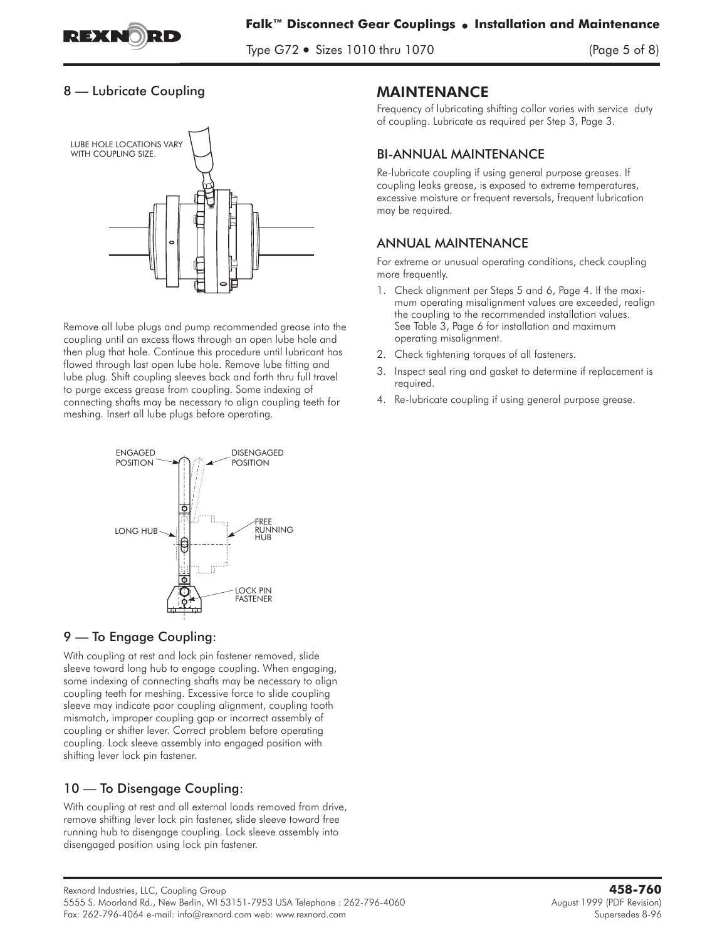

Type G72 - Sizes 1010 thru 1070 (Page 5 of 8)

## 8 — Lubricate Coupling



Remove all lube plugs and pump recommended grease into the coupling until an excess flows through an open lube hole and then plug that hole. Continue this procedure until lubricant has flowed through last open lube hole. Remove lube fitting and lube plug. Shift coupling sleeves back and forth thru full travel to purge excess grease from coupling. Some indexing of connecting shafts may be necessary to align coupling teeth for meshing. Insert all lube plugs before operating.



## 9 — To Engage Coupling:

With coupling at rest and lock pin fastener removed, slide sleeve toward long hub to engage coupling. When engaging, some indexing of connecting shafts may be necessary to align coupling teeth for meshing. Excessive force to slide coupling sleeve may indicate poor coupling alignment, coupling tooth mismatch, improper coupling gap or incorrect assembly of coupling or shifter lever. Correct problem before operating coupling. Lock sleeve assembly into engaged position with shifting lever lock pin fastener.

## 10 — To Disengage Coupling:

With coupling at rest and all external loads removed from drive, remove shifting lever lock pin fastener, slide sleeve toward free running hub to disengage coupling. Lock sleeve assembly into disengaged position using lock pin fastener.

## **MAINTENANCE**

Frequency of lubricating shifting collar varies with service duty of coupling. Lubricate as required per Step 3, Page 3.

## BI-ANNUAL MAINTENANCE

Re-lubricate coupling if using general purpose greases. If coupling leaks grease, is exposed to extreme temperatures, excessive moisture or frequent reversals, frequent lubrication may be required.

## ANNUAL MAINTENANCE

For extreme or unusual operating conditions, check coupling more frequently.

- 1. Check alignment per Steps 5 and 6, Page 4. If the maximum operating misalignment values are exceeded, realign the coupling to the recommended installation values. See Table 3, Page 6 for installation and maximum operating misalignment.
- 2. Check tightening torques of all fasteners.
- 3. Inspect seal ring and gasket to determine if replacement is required.
- 4. Re-lubricate coupling if using general purpose grease.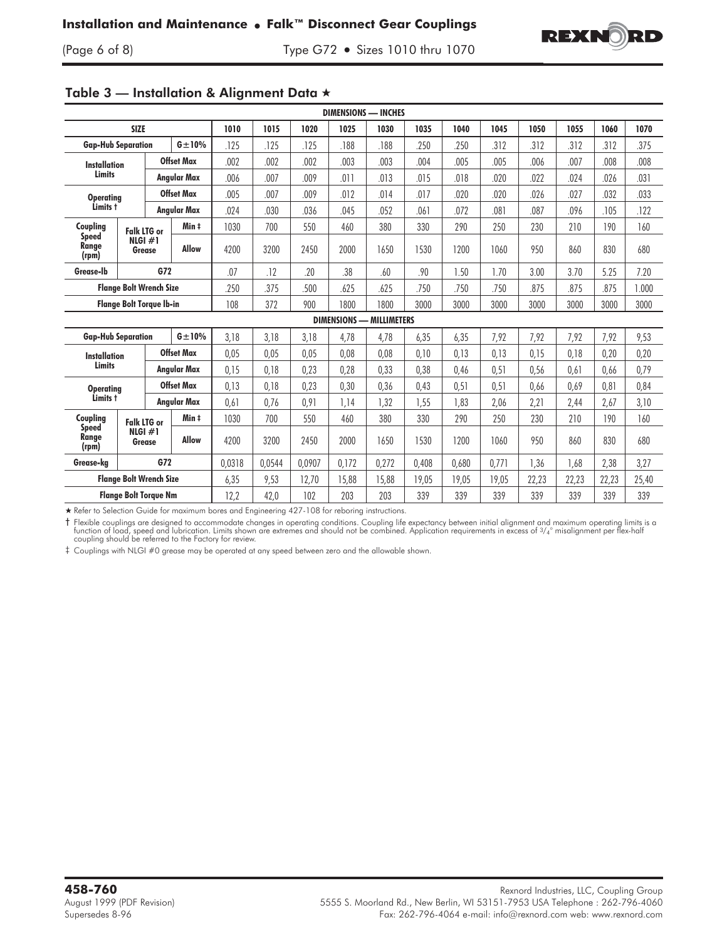

(Page 6 of 8) Type G72 - Sizes 1010 thru 1070

| <b>DIMENSIONS — INCHES</b>                |                                           |                    |              |        |        |        |       |                                 |       |       |       |       |       |       |       |
|-------------------------------------------|-------------------------------------------|--------------------|--------------|--------|--------|--------|-------|---------------------------------|-------|-------|-------|-------|-------|-------|-------|
| <b>SIZE</b>                               |                                           |                    | 1010         | 1015   | 1020   | 1025   | 1030  | 1035                            | 1040  | 1045  | 1050  | 1055  | 1060  | 1070  |       |
| $G \pm 10\%$<br><b>Gap-Hub Separation</b> |                                           |                    | .125         | .125   | .125   | .188   | .188  | .250                            | 250   | 312   | .312  | .312  | .312  | 375   |       |
| <b>Installation</b><br><b>Limits</b>      |                                           | <b>Offset Max</b>  |              | .002   | .002   | .002   | .003  | .003                            | .004  | .005  | .005  | .006  | .007  | .008  | .008  |
|                                           |                                           | Angular Max        |              | .006   | .007   | .009   | .011  | .013                            | .015  | .018  | .020  | .022  | .024  | .026  | .031  |
| <b>Operating</b><br>Limits t              |                                           | <b>Offset Max</b>  |              | .005   | .007   | .009   | .012  | .014                            | .017  | .020  | .020  | .026  | .027  | .032  | .033  |
|                                           |                                           | Angular Max        |              | .024   | .030   | .036   | .045  | .052                            | .061  | .072  | .081  | .087  | .096  | .105  | .122  |
| Coupling                                  | <b>Falk LTG or</b><br>NLGI $#1$<br>Grease |                    | Min ‡        | 1030   | 700    | 550    | 460   | 380                             | 330   | 290   | 250   | 230   | 210   | 190   | 160   |
| <b>Speed</b><br>Range<br>(rpm)            |                                           |                    | <b>Allow</b> | 4200   | 3200   | 2450   | 2000  | 1650                            | 1530  | 1200  | 1060  | 950   | 860   | 830   | 680   |
| Grease-Ib                                 |                                           | G72                |              | .07    | .12    | .20    | .38   | .60                             | .90   | 1.50  | 1.70  | 3.00  | 3.70  | 5.25  | 7.20  |
| <b>Flange Bolt Wrench Size</b>            |                                           |                    |              | .250   | .375   | .500   | .625  | .625                            | .750  | .750  | .750  | .875  | .875  | .875  | 1.000 |
| <b>Flange Bolt Torque Ib-in</b>           |                                           |                    |              | 108    | 372    | 900    | 1800  | 1800                            | 3000  | 3000  | 3000  | 3000  | 3000  | 3000  | 3000  |
|                                           |                                           |                    |              |        |        |        |       | <b>DIMENSIONS - MILLIMETERS</b> |       |       |       |       |       |       |       |
| <b>Gap-Hub Separation</b>                 |                                           |                    | $G \pm 10\%$ | 3,18   | 3,18   | 3,18   | 4,78  | 4,78                            | 6,35  | 6,35  | 7,92  | 7,92  | 7,92  | 7,92  | 9,53  |
| <b>Installation</b>                       |                                           | <b>Offset Max</b>  |              | 0,05   | 0,05   | 0,05   | 0,08  | 0.08                            | 0,10  | 0,13  | 0,13  | 0,15  | 0,18  | 0,20  | 0,20  |
| <b>Limits</b>                             |                                           | Angular Max        |              | 0,15   | 0,18   | 0,23   | 0,28  | 0,33                            | 0,38  | 0,46  | 0,51  | 0,56  | 0,61  | 0,66  | 0,79  |
| <b>Operating</b><br>Limits t              |                                           | <b>Offset Max</b>  |              | 0,13   | 0,18   | 0,23   | 0,30  | 0,36                            | 0,43  | 0,51  | 0,51  | 0,66  | 0,69  | 0,81  | 0,84  |
|                                           |                                           | <b>Angular Max</b> |              | 0,61   | 0.76   | 0,91   | 1,14  | 1,32                            | 1,55  | 1.83  | 2,06  | 2,21  | 2,44  | 2,67  | 3,10  |
| Coupling                                  | <b>Falk LTG or</b><br>NLGI #1<br>Grease   |                    | Min ‡        | 1030   | 700    | 550    | 460   | 380                             | 330   | 290   | 250   | 230   | 210   | 190   | 160   |
| <b>Speed</b><br>Range<br>(rpm)            |                                           |                    | <b>Allow</b> | 4200   | 3200   | 2450   | 2000  | 1650                            | 1530  | 1200  | 1060  | 950   | 860   | 830   | 680   |
| Grease-ka                                 |                                           | G72                |              | 0.0318 | 0.0544 | 0.0907 | 0.172 | 0.272                           | 0.408 | 0.680 | 0.771 | 1.36  | 1.68  | 2,38  | 3,27  |
| <b>Flange Bolt Wrench Size</b>            |                                           |                    |              | 6,35   | 9,53   | 12,70  | 15,88 | 15,88                           | 19,05 | 19,05 | 19,05 | 22,23 | 22,23 | 22,23 | 25,40 |
| <b>Flange Bolt Torque Nm</b>              |                                           |                    |              | 12,2   | 42,0   | 102    | 203   | 203                             | 339   | 339   | 339   | 339   | 339   | 339   | 339   |

# Table 3 — Installation & Alignment Data -

- Refer to Selection Guide for maximum bores and Engineering 427-108 for reboring instructions.

 $\dagger$  Flexible couplings are designed to accommodate changes in operating conditions. Coupling life expectancy between initial alignment and maximum operating limits is a function of load, speed and lubrication. Limits sho

‡ Couplings with NLGI #0 grease may be operated at any speed between zero and the allowable shown.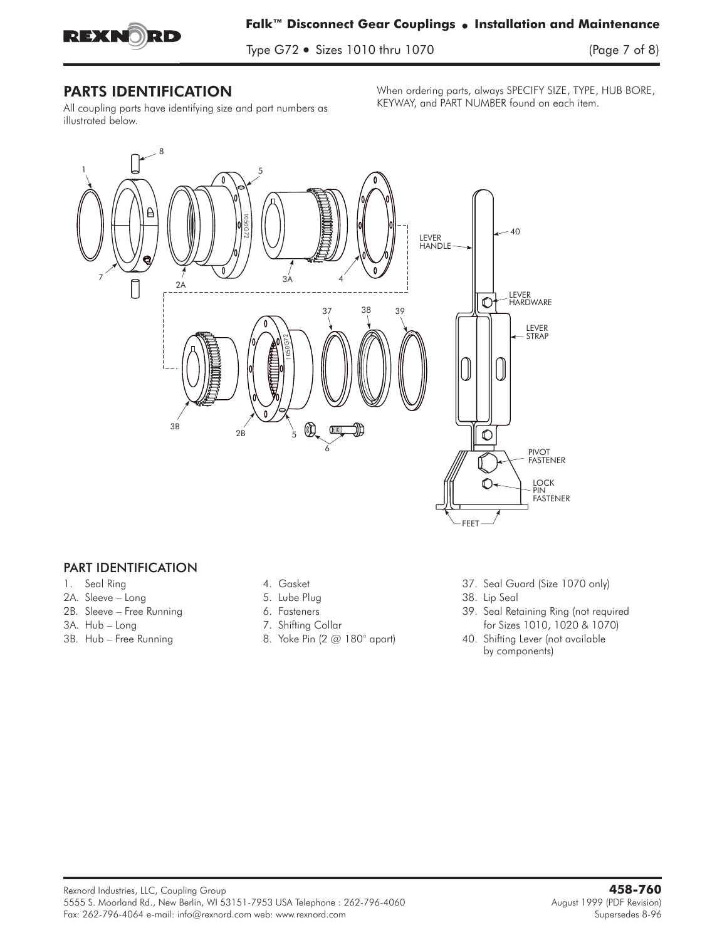

Type G72 - Sizes 1010 thru 1070 (Page 7 of 8)

All coupling parts have identifying size and part numbers as illustrated below.

When ordering parts, always SPECIFY SIZE, TYPE, HUB BORE, KEYWAY, and PART NUMBER found on each item.



## PART IDENTIFICATION

- 
- 2A. Sleeve Long 38. Lip Seal 5. Lube Plug 38. Lip Seal 38. Lip Seal
- 
- 
- 
- 
- 
- 
- 
- 
- 1. Seal Ring 1. Seal Guard (Size 1070 only) 37. Seal Guard (Size 1070 only)
	-
- 2B. Sleeve Free Running 6. Fasteners 39. Seal Retaining Ring (not required 3A. Hub – Long **1020 & 1070** 7. Shifting Collar **for Sizes 1010**, 1020 & 1070)
- 3B. Hub Free Running **8. Yoke Pin (2 @ 180° apart)** 40. Shifting Lever (not available by components)